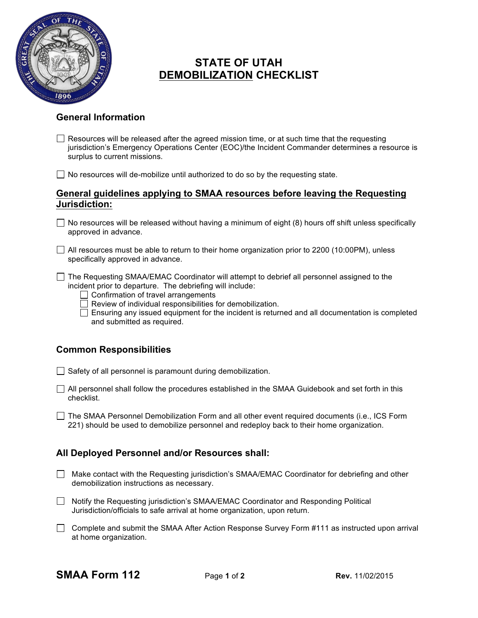

# **STATE OF UTAH DEMOBILIZATION CHECKLIST**

### **General Information**

 $\Box$  Resources will be released after the agreed mission time, or at such time that the requesting jurisdiction's Emergency Operations Center (EOC)/the Incident Commander determines a resource is surplus to current missions.

 $\Box$  No resources will de-mobilize until authorized to do so by the requesting state.

#### **General guidelines applying to SMAA resources before leaving the Requesting Jurisdiction:**

- $\Box$  No resources will be released without having a minimum of eight (8) hours off shift unless specifically approved in advance.
- $\Box$  All resources must be able to return to their home organization prior to 2200 (10:00PM), unless specifically approved in advance.

 $\Box$  The Requesting SMAA/EMAC Coordinator will attempt to debrief all personnel assigned to the incident prior to departure. The debriefing will include:

 $\Box$  Confirmation of travel arrangements

 $\Box$  Review of individual responsibilities for demobilization.

 $\Box$  Ensuring any issued equipment for the incident is returned and all documentation is completed and submitted as required.

## **Common Responsibilities**

 $\Box$  Safety of all personnel is paramount during demobilization.

- $\Box$  All personnel shall follow the procedures established in the SMAA Guidebook and set forth in this checklist.
- The SMAA Personnel Demobilization Form and all other event required documents (i.e., ICS Form 221) should be used to demobilize personnel and redeploy back to their home organization.

## **All Deployed Personnel and/or Resources shall:**

- $\Box$  Make contact with the Requesting jurisdiction's SMAA/EMAC Coordinator for debriefing and other demobilization instructions as necessary.
- □ Notify the Requesting jurisdiction's SMAA/EMAC Coordinator and Responding Political Jurisdiction/officials to safe arrival at home organization, upon return.
- $\Box$  Complete and submit the SMAA After Action Response Survey Form #111 as instructed upon arrival at home organization.